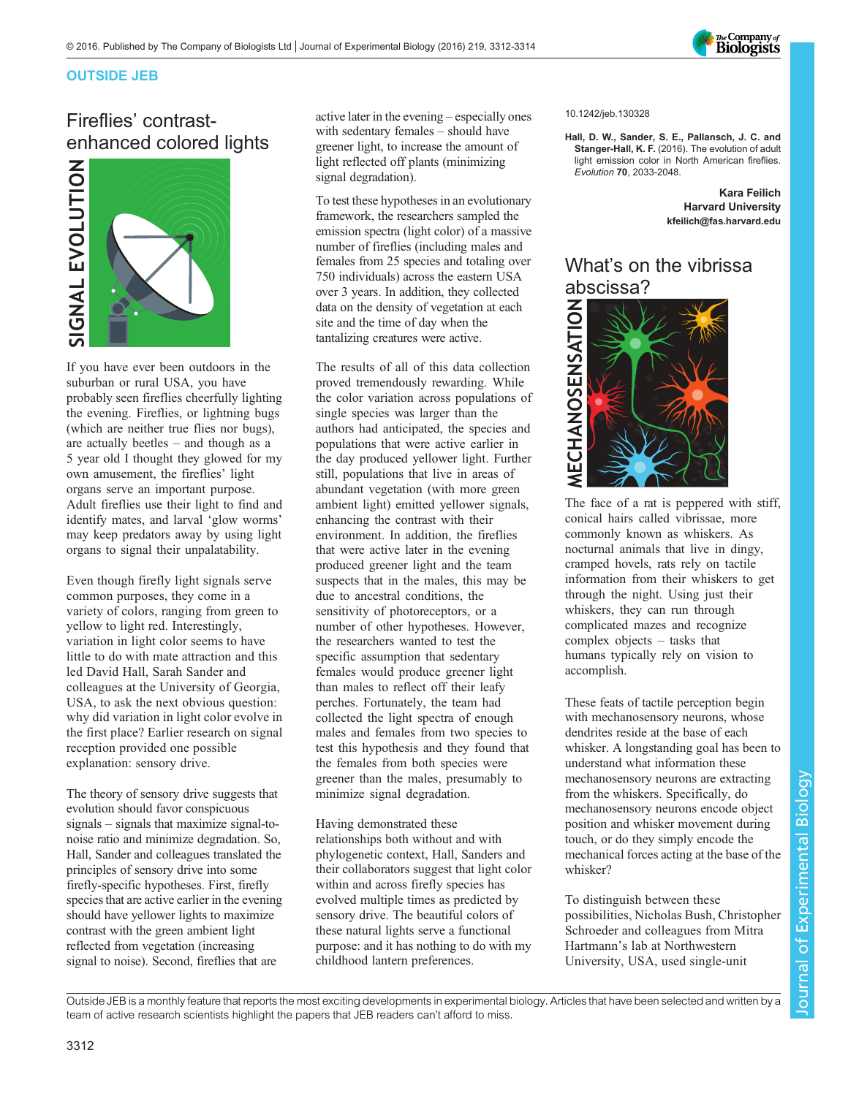

#### OUTSIDE JEB

# Fireflies' contrastenhanced colored lights



If you have ever been outdoors in the suburban or rural USA, you have probably seen fireflies cheerfully lighting the evening. Fireflies, or lightning bugs (which are neither true flies nor bugs), are actually beetles – and though as a 5 year old I thought they glowed for my own amusement, the fireflies' light organs serve an important purpose. Adult fireflies use their light to find and identify mates, and larval 'glow worms' may keep predators away by using light organs to signal their unpalatability.

Even though firefly light signals serve common purposes, they come in a variety of colors, ranging from green to yellow to light red. Interestingly, variation in light color seems to have little to do with mate attraction and this led David Hall, Sarah Sander and colleagues at the University of Georgia, USA, to ask the next obvious question: why did variation in light color evolve in the first place? Earlier research on signal reception provided one possible explanation: sensory drive.

The theory of sensory drive suggests that evolution should favor conspicuous signals – signals that maximize signal-tonoise ratio and minimize degradation. So, Hall, Sander and colleagues translated the principles of sensory drive into some firefly-specific hypotheses. First, firefly species that are active earlier in the evening should have yellower lights to maximize contrast with the green ambient light reflected from vegetation (increasing signal to noise). Second, fireflies that are

active later in the evening – especially ones with sedentary females – should have greener light, to increase the amount of light reflected off plants (minimizing signal degradation).

To test these hypotheses in an evolutionary framework, the researchers sampled the emission spectra (light color) of a massive number of fireflies (including males and females from 25 species and totaling over 750 individuals) across the eastern USA over 3 years. In addition, they collected data on the density of vegetation at each site and the time of day when the tantalizing creatures were active.

The results of all of this data collection proved tremendously rewarding. While the color variation across populations of single species was larger than the authors had anticipated, the species and populations that were active earlier in the day produced yellower light. Further still, populations that live in areas of abundant vegetation (with more green ambient light) emitted yellower signals, enhancing the contrast with their environment. In addition, the fireflies that were active later in the evening produced greener light and the team suspects that in the males, this may be due to ancestral conditions, the sensitivity of photoreceptors, or a number of other hypotheses. However, the researchers wanted to test the specific assumption that sedentary females would produce greener light than males to reflect off their leafy perches. Fortunately, the team had collected the light spectra of enough males and females from two species to test this hypothesis and they found that the females from both species were greener than the males, presumably to minimize signal degradation.

Having demonstrated these relationships both without and with phylogenetic context, Hall, Sanders and their collaborators suggest that light color within and across firefly species has evolved multiple times as predicted by sensory drive. The beautiful colors of these natural lights serve a functional purpose: and it has nothing to do with my childhood lantern preferences.

#### 10.1242/jeb.130328

[Hall, D. W., Sander, S. E., Pallansch, J. C. and](http://dx.doi.org/10.1111/evo.13002) Stanger-Hall, K. F. [\(2016\). The evolution of adult](http://dx.doi.org/10.1111/evo.13002) [light emission color in North American fireflies.](http://dx.doi.org/10.1111/evo.13002) Evolution 70[, 2033-2048.](http://dx.doi.org/10.1111/evo.13002)

> Kara Feilich Harvard University [kfeilich@fas.harvard.edu](mailto:kfeilich@fas.harvard.edu)

# What's on the vibrissa abscissa?



The face of a rat is peppered with stiff, conical hairs called vibrissae, more commonly known as whiskers. As nocturnal animals that live in dingy, cramped hovels, rats rely on tactile information from their whiskers to get through the night. Using just their whiskers, they can run through complicated mazes and recognize complex objects – tasks that humans typically rely on vision to accomplish.

These feats of tactile perception begin with mechanosensory neurons, whose dendrites reside at the base of each whisker. A longstanding goal has been to understand what information these mechanosensory neurons are extracting from the whiskers. Specifically, do mechanosensory neurons encode object position and whisker movement during touch, or do they simply encode the mechanical forces acting at the base of the whisker?

To distinguish between these possibilities, Nicholas Bush, Christopher Schroeder and colleagues from Mitra Hartmann's lab at Northwestern University, USA, used single-unit

Outside JEB is a monthly feature that reports the most exciting developments in experimental biology. Articles that have been selected and written by a team of active research scientists highlight the papers that JEB readers can't afford to miss.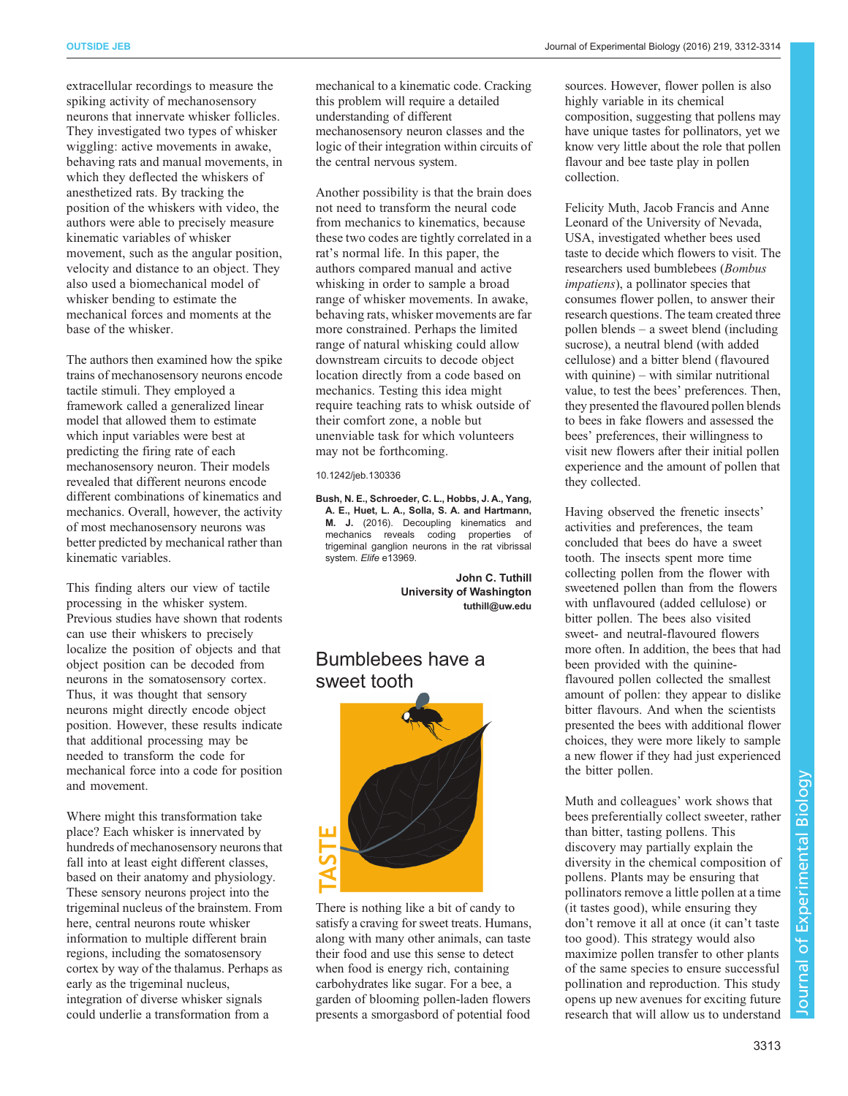extracellular recordings to measure the spiking activity of mechanosensory neurons that innervate whisker follicles. They investigated two types of whisker wiggling: active movements in awake, behaving rats and manual movements, in which they deflected the whiskers of anesthetized rats. By tracking the position of the whiskers with video, the authors were able to precisely measure kinematic variables of whisker movement, such as the angular position, velocity and distance to an object. They also used a biomechanical model of whisker bending to estimate the mechanical forces and moments at the base of the whisker.

The authors then examined how the spike trains of mechanosensory neurons encode tactile stimuli. They employed a framework called a generalized linear model that allowed them to estimate which input variables were best at predicting the firing rate of each mechanosensory neuron. Their models revealed that different neurons encode different combinations of kinematics and mechanics. Overall, however, the activity of most mechanosensory neurons was better predicted by mechanical rather than kinematic variables.

This finding alters our view of tactile processing in the whisker system. Previous studies have shown that rodents can use their whiskers to precisely localize the position of objects and that object position can be decoded from neurons in the somatosensory cortex. Thus, it was thought that sensory neurons might directly encode object position. However, these results indicate that additional processing may be needed to transform the code for mechanical force into a code for position and movement.

Where might this transformation take place? Each whisker is innervated by hundreds of mechanosensory neurons that fall into at least eight different classes, based on their anatomy and physiology. These sensory neurons project into the trigeminal nucleus of the brainstem. From here, central neurons route whisker information to multiple different brain regions, including the somatosensory cortex by way of the thalamus. Perhaps as early as the trigeminal nucleus, integration of diverse whisker signals could underlie a transformation from a

Another possibility is that the brain does not need to transform the neural code from mechanics to kinematics, because these two codes are tightly correlated in a rat's normal life. In this paper, the authors compared manual and active whisking in order to sample a broad range of whisker movements. In awake, behaving rats, whisker movements are far more constrained. Perhaps the limited range of natural whisking could allow downstream circuits to decode object location directly from a code based on mechanics. Testing this idea might require teaching rats to whisk outside of their comfort zone, a noble but unenviable task for which volunteers may not be forthcoming.

10.1242/jeb.130336

[Bush, N. E., Schroeder, C. L., Hobbs, J. A., Yang,](http://dx.doi.org/10.7554/eLife.13969) [A. E., Huet, L. A., Solla, S. A. and Hartmann,](http://dx.doi.org/10.7554/eLife.13969) M. J. [\(2016\). Decoupling kinematics and](http://dx.doi.org/10.7554/eLife.13969) [mechanics reveals coding properties of](http://dx.doi.org/10.7554/eLife.13969) [trigeminal ganglion neurons in the rat vibrissal](http://dx.doi.org/10.7554/eLife.13969) system. Elife [e13969.](http://dx.doi.org/10.7554/eLife.13969)

> John C. Tuthill University of Washington [tuthill@uw.edu](mailto:tuthill@uw.edu)

### Bumblebees have a sweet tooth



There is nothing like a bit of candy to satisfy a craving for sweet treats. Humans, along with many other animals, can taste their food and use this sense to detect when food is energy rich, containing carbohydrates like sugar. For a bee, a garden of blooming pollen-laden flowers presents a smorgasbord of potential food sources. However, flower pollen is also highly variable in its chemical composition, suggesting that pollens may have unique tastes for pollinators, yet we know very little about the role that pollen flavour and bee taste play in pollen collection.

Felicity Muth, Jacob Francis and Anne Leonard of the University of Nevada, USA, investigated whether bees used taste to decide which flowers to visit. The researchers used bumblebees (Bombus impatiens), a pollinator species that consumes flower pollen, to answer their research questions. The team created three pollen blends – a sweet blend (including sucrose), a neutral blend (with added cellulose) and a bitter blend (flavoured with quinine) – with similar nutritional value, to test the bees' preferences. Then, they presented the flavoured pollen blends to bees in fake flowers and assessed the bees' preferences, their willingness to visit new flowers after their initial pollen experience and the amount of pollen that they collected.

Having observed the frenetic insects' activities and preferences, the team concluded that bees do have a sweet tooth. The insects spent more time collecting pollen from the flower with sweetened pollen than from the flowers with unflavoured (added cellulose) or bitter pollen. The bees also visited sweet- and neutral-flavoured flowers more often. In addition, the bees that had been provided with the quinineflavoured pollen collected the smallest amount of pollen: they appear to dislike bitter flavours. And when the scientists presented the bees with additional flower choices, they were more likely to sample a new flower if they had just experienced the bitter pollen.

Muth and colleagues' work shows that bees preferentially collect sweeter, rather than bitter, tasting pollens. This discovery may partially explain the diversity in the chemical composition of pollens. Plants may be ensuring that pollinators remove a little pollen at a time (it tastes good), while ensuring they don't remove it all at once (it can't taste too good). This strategy would also maximize pollen transfer to other plants of the same species to ensure successful pollination and reproduction. This study opens up new avenues for exciting future research that will allow us to understand